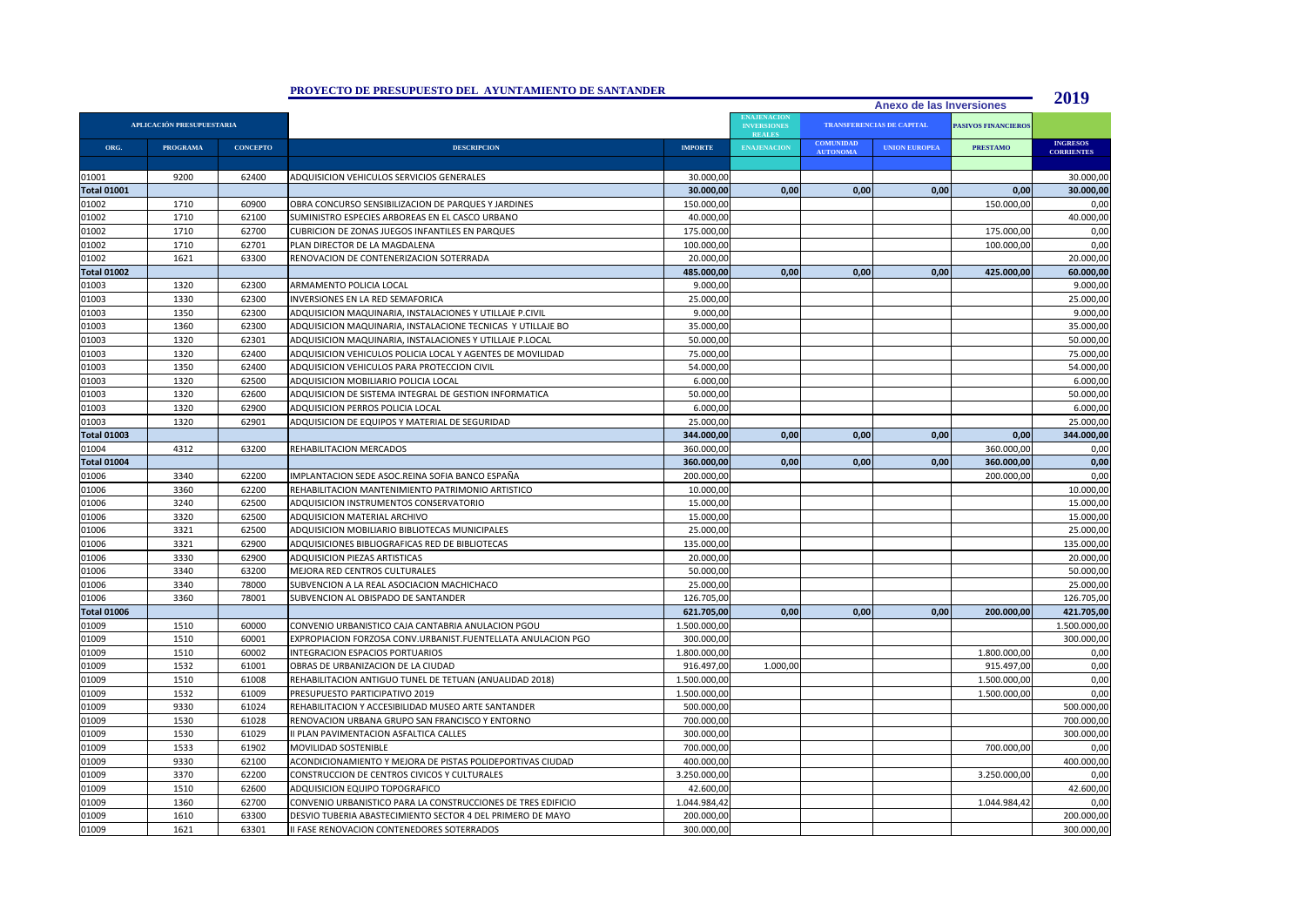|                           |                 |                 | PROYECTO DE PRESUPUESTO DEL AYUNTAMIENTO DE SANTANDER        |                |                                                           |                                     |                      |                            | 2019                                 |
|---------------------------|-----------------|-----------------|--------------------------------------------------------------|----------------|-----------------------------------------------------------|-------------------------------------|----------------------|----------------------------|--------------------------------------|
|                           |                 |                 | Anexo de las Inversiones                                     |                |                                                           |                                     |                      |                            |                                      |
| APLICACIÓN PRESUPUESTARIA |                 |                 |                                                              |                | <b>ENAJENACION</b><br><b>INVERSIONES</b><br><b>REALES</b> | TRANSFERENCIAS DE CAPITAL           |                      | <b>PASIVOS FINANCIEROS</b> |                                      |
| ORG.                      | <b>PROGRAMA</b> | <b>CONCEPTO</b> | <b>DESCRIPCION</b>                                           | <b>IMPORTE</b> | <b>ENAJENACION</b>                                        | <b>COMUNIDAD</b><br><b>AUTONOMA</b> | <b>UNION EUROPEA</b> | <b>PRESTAMO</b>            | <b>INGRESOS</b><br><b>CORRIENTES</b> |
|                           |                 |                 |                                                              |                |                                                           |                                     |                      |                            |                                      |
| 01001                     | 9200            | 62400           | ADQUISICION VEHICULOS SERVICIOS GENERALES                    | 30.000,00      |                                                           |                                     |                      |                            | 30.000,00                            |
| <b>Total 01001</b>        |                 |                 |                                                              | 30.000,00      | 0,00                                                      | 0,00                                | 0,00                 | 0,00                       | 30.000,00                            |
| 01002                     | 1710            | 60900           | OBRA CONCURSO SENSIBILIZACION DE PARQUES Y JARDINES          | 150.000,00     |                                                           |                                     |                      | 150.000,00                 | 0,00                                 |
| 01002                     | 1710            | 62100           | SUMINISTRO ESPECIES ARBOREAS EN EL CASCO URBANO              | 40.000,00      |                                                           |                                     |                      |                            | 40.000,00                            |
| 01002                     | 1710            | 62700           | CUBRICION DE ZONAS JUEGOS INFANTILES EN PARQUES              | 175.000,00     |                                                           |                                     |                      | 175.000,00                 | 0,00                                 |
| 01002                     | 1710            | 62701           | PLAN DIRECTOR DE LA MAGDALENA                                | 100.000,00     |                                                           |                                     |                      | 100.000,00                 | 0,00                                 |
| 01002                     | 1621            | 63300           | RENOVACION DE CONTENERIZACION SOTERRADA                      | 20.000,00      |                                                           |                                     |                      |                            | 20.000,00                            |
| <b>Total 01002</b>        |                 |                 |                                                              | 485.000,00     | 0.00                                                      | 0.00                                | 0,00                 | 425.000,00                 | 60.000,00                            |
| 01003                     | 1320            | 62300           | ARMAMENTO POLICIA LOCAL                                      | 9.000,00       |                                                           |                                     |                      |                            | 9.000,00                             |
| 01003                     | 1330            | 62300           | INVERSIONES EN LA RED SEMAFORICA                             | 25.000,00      |                                                           |                                     |                      |                            | 25.000,00                            |
| 01003                     | 1350            | 62300           | ADQUISICION MAQUINARIA, INSTALACIONES Y UTILLAJE P.CIVIL     | 9.000,00       |                                                           |                                     |                      |                            | 9.000,00                             |
| 01003                     | 1360            | 62300           | ADQUISICION MAQUINARIA, INSTALACIONE TECNICAS Y UTILLAJE BO  | 35.000,00      |                                                           |                                     |                      |                            | 35.000,00                            |
| 01003                     | 1320            | 62301           | ADQUISICION MAQUINARIA, INSTALACIONES Y UTILLAJE P.LOCAL     | 50.000,00      |                                                           |                                     |                      |                            | 50.000,00                            |
| 01003                     | 1320            | 62400           | ADQUISICION VEHICULOS POLICIA LOCAL Y AGENTES DE MOVILIDAD   | 75.000,00      |                                                           |                                     |                      |                            | 75.000,00                            |
| 01003                     | 1350            | 62400           | ADQUISICION VEHICULOS PARA PROTECCION CIVIL                  | 54.000,00      |                                                           |                                     |                      |                            | 54.000,00                            |
| 01003                     | 1320            | 62500           | ADQUISICION MOBILIARIO POLICIA LOCAL                         | 6.000,00       |                                                           |                                     |                      |                            | 6.000,00                             |
| 01003                     | 1320            | 62600           | ADQUISICION DE SISTEMA INTEGRAL DE GESTION INFORMATICA       | 50.000,00      |                                                           |                                     |                      |                            | 50.000,00                            |
| 01003                     | 1320            | 62900           | ADQUISICION PERROS POLICIA LOCAL                             | 6.000,00       |                                                           |                                     |                      |                            | 6.000,00                             |
| 01003                     | 1320            | 62901           | ADQUISICION DE EQUIPOS Y MATERIAL DE SEGURIDAD               | 25.000,00      |                                                           |                                     |                      |                            | 25.000,00                            |
| <b>Total 01003</b>        |                 |                 |                                                              | 344.000,00     | 0,00                                                      | 0,00                                | 0,00                 | 0,00                       | 344.000,00                           |
| 01004                     | 4312            | 63200           | REHABILITACION MERCADOS                                      | 360.000,00     |                                                           |                                     |                      | 360.000,00                 | 0,00                                 |
| <b>Total 01004</b>        |                 |                 |                                                              | 360.000,00     | 0,00                                                      | 0,00                                | 0,00                 | 360.000,00                 | 0,00                                 |
| 01006                     | 3340            | 62200           | IMPLANTACION SEDE ASOC.REINA SOFIA BANCO ESPAÑA              | 200.000,00     |                                                           |                                     |                      | 200.000,00                 | 0,00                                 |
| 01006                     | 3360            | 62200           | REHABILITACION MANTENIMIENTO PATRIMONIO ARTISTICO            | 10.000,00      |                                                           |                                     |                      |                            | 10.000,00                            |
| 01006                     | 3240            | 62500           | ADQUISICION INSTRUMENTOS CONSERVATORIO                       | 15.000,00      |                                                           |                                     |                      |                            | 15.000,00                            |
| 01006                     | 3320            | 62500           | ADQUISICION MATERIAL ARCHIVO                                 | 15.000,00      |                                                           |                                     |                      |                            | 15.000,00                            |
| 01006                     | 3321            | 62500           | ADQUISICION MOBILIARIO BIBLIOTECAS MUNICIPALES               | 25.000,00      |                                                           |                                     |                      |                            | 25.000,00                            |
| 01006                     | 3321            | 62900           | ADQUISICIONES BIBLIOGRAFICAS RED DE BIBLIOTECAS              | 135.000,00     |                                                           |                                     |                      |                            | 135.000,00                           |
| 01006                     | 3330            | 62900           | ADQUISICION PIEZAS ARTISTICAS                                | 20.000,00      |                                                           |                                     |                      |                            | 20.000,00                            |
| 01006                     | 3340            | 63200           | MEJORA RED CENTROS CULTURALES                                | 50.000,00      |                                                           |                                     |                      |                            | 50.000,00                            |
| 01006                     | 3340            | 78000           | SUBVENCION A LA REAL ASOCIACION MACHICHACO                   | 25.000,00      |                                                           |                                     |                      |                            | 25.000,00                            |
| 01006                     | 3360            | 78001           | SUBVENCION AL OBISPADO DE SANTANDER                          | 126.705,00     |                                                           |                                     |                      |                            | 126.705,00                           |
| <b>Total 01006</b>        |                 |                 |                                                              | 621.705,00     | 0.00                                                      | 0.00                                | 0.00                 | 200.000,00                 | 421.705,00                           |
| 01009                     | 1510            | 60000           | CONVENIO URBANISTICO CAJA CANTABRIA ANULACION PGOU           | 1.500.000,00   |                                                           |                                     |                      |                            | 1.500.000,00                         |
| 01009                     | 1510            | 60001           | EXPROPIACION FORZOSA CONV.URBANIST.FUENTELLATA ANULACION PGO | 300.000,00     |                                                           |                                     |                      |                            | 300.000,00                           |
| 01009                     | 1510            | 60002           | INTEGRACION ESPACIOS PORTUARIOS                              | 1.800.000,00   |                                                           |                                     |                      | 1.800.000,00               | 0,00                                 |
| 01009                     | 1532            | 61001           | OBRAS DE URBANIZACION DE LA CIUDAD                           | 916.497,00     | 1.000,00                                                  |                                     |                      | 915.497,00                 | 0,00                                 |
| 01009                     | 1510            | 61008           | REHABILITACION ANTIGUO TUNEL DE TETUAN (ANUALIDAD 2018)      | 1.500.000,00   |                                                           |                                     |                      | 1.500.000,00               | 0,00                                 |
| 01009                     | 1532            | 61009           | PRESUPUESTO PARTICIPATIVO 2019                               | 1.500.000,00   |                                                           |                                     |                      | 1.500.000,00               | 0,00                                 |
| 01009                     | 9330            | 61024           | REHABILITACION Y ACCESIBILIDAD MUSEO ARTE SANTANDER          | 500.000,00     |                                                           |                                     |                      |                            | 500.000,00                           |
| 01009                     | 1530            | 61028           | RENOVACION URBANA GRUPO SAN FRANCISCO Y ENTORNO              | 700.000,00     |                                                           |                                     |                      |                            | 700.000,00                           |
| 01009                     | 1530            | 61029           | II PLAN PAVIMENTACION ASFALTICA CALLES                       | 300.000,00     |                                                           |                                     |                      |                            | 300.000,00                           |
| 01009                     | 1533            | 61902           | MOVILIDAD SOSTENIBLE                                         | 700.000,00     |                                                           |                                     |                      | 700.000,00                 | 0,00                                 |
| 01009                     | 9330            | 62100           | ACONDICIONAMIENTO Y MEJORA DE PISTAS POLIDEPORTIVAS CIUDAD   | 400.000,00     |                                                           |                                     |                      |                            | 400.000,00                           |
| 01009                     | 3370            | 62200           | CONSTRUCCION DE CENTROS CIVICOS Y CULTURALES                 | 3.250.000,00   |                                                           |                                     |                      | 3.250.000,00               | 0,00                                 |
| 01009                     | 1510            | 62600           | ADQUISICION EQUIPO TOPOGRAFICO                               | 42.600,00      |                                                           |                                     |                      |                            | 42.600,00                            |
| 01009                     | 1360            | 62700           | CONVENIO URBANISTICO PARA LA CONSTRUCCIONES DE TRES EDIFICIO | 1.044.984,42   |                                                           |                                     |                      | 1.044.984,42               | 0,00                                 |
| 01009                     | 1610            | 63300           | DESVIO TUBERIA ABASTECIMIENTO SECTOR 4 DEL PRIMERO DE MAYO   | 200.000,00     |                                                           |                                     |                      |                            | 200.000,00                           |
| 01009                     | 1621            | 63301           | II FASE RENOVACION CONTENEDORES SOTERRADOS                   | 300.000,00     |                                                           |                                     |                      |                            | 300.000,00                           |